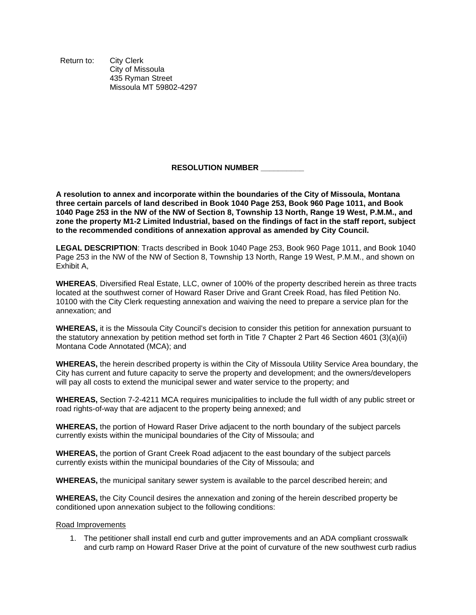Return to: City Clerk City of Missoula 435 Ryman Street Missoula MT 59802-4297

## **RESOLUTION NUMBER \_\_\_\_\_\_\_\_\_\_**

**A resolution to annex and incorporate within the boundaries of the City of Missoula, Montana three certain parcels of land described in Book 1040 Page 253, Book 960 Page 1011, and Book 1040 Page 253 in the NW of the NW of Section 8, Township 13 North, Range 19 West, P.M.M., and zone the property M1-2 Limited Industrial, based on the findings of fact in the staff report, subject to the recommended conditions of annexation approval as amended by City Council.**

**LEGAL DESCRIPTION**: Tracts described in Book 1040 Page 253, Book 960 Page 1011, and Book 1040 Page 253 in the NW of the NW of Section 8, Township 13 North, Range 19 West, P.M.M., and shown on Exhibit A,

**WHEREAS**, Diversified Real Estate, LLC, owner of 100% of the property described herein as three tracts located at the southwest corner of Howard Raser Drive and Grant Creek Road, has filed Petition No. 10100 with the City Clerk requesting annexation and waiving the need to prepare a service plan for the annexation; and

**WHEREAS,** it is the Missoula City Council's decision to consider this petition for annexation pursuant to the statutory annexation by petition method set forth in Title 7 Chapter 2 Part 46 Section 4601 (3)(a)(ii) Montana Code Annotated (MCA); and

**WHEREAS,** the herein described property is within the City of Missoula Utility Service Area boundary, the City has current and future capacity to serve the property and development; and the owners/developers will pay all costs to extend the municipal sewer and water service to the property; and

**WHEREAS,** Section 7-2-4211 MCA requires municipalities to include the full width of any public street or road rights-of-way that are adjacent to the property being annexed; and

**WHEREAS,** the portion of Howard Raser Drive adjacent to the north boundary of the subject parcels currently exists within the municipal boundaries of the City of Missoula; and

**WHEREAS,** the portion of Grant Creek Road adjacent to the east boundary of the subject parcels currently exists within the municipal boundaries of the City of Missoula; and

**WHEREAS,** the municipal sanitary sewer system is available to the parcel described herein; and

**WHEREAS,** the City Council desires the annexation and zoning of the herein described property be conditioned upon annexation subject to the following conditions:

## Road Improvements

1. The petitioner shall install end curb and gutter improvements and an ADA compliant crosswalk and curb ramp on Howard Raser Drive at the point of curvature of the new southwest curb radius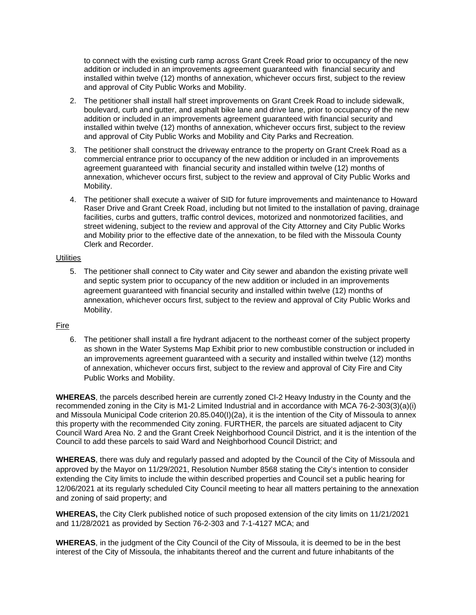to connect with the existing curb ramp across Grant Creek Road prior to occupancy of the new addition or included in an improvements agreement guaranteed with financial security and installed within twelve (12) months of annexation, whichever occurs first, subject to the review and approval of City Public Works and Mobility.

- 2. The petitioner shall install half street improvements on Grant Creek Road to include sidewalk, boulevard, curb and gutter, and asphalt bike lane and drive lane, prior to occupancy of the new addition or included in an improvements agreement guaranteed with financial security and installed within twelve (12) months of annexation, whichever occurs first, subject to the review and approval of City Public Works and Mobility and City Parks and Recreation.
- 3. The petitioner shall construct the driveway entrance to the property on Grant Creek Road as a commercial entrance prior to occupancy of the new addition or included in an improvements agreement guaranteed with financial security and installed within twelve (12) months of annexation, whichever occurs first, subject to the review and approval of City Public Works and Mobility.
- 4. The petitioner shall execute a waiver of SID for future improvements and maintenance to Howard Raser Drive and Grant Creek Road, including but not limited to the installation of paving, drainage facilities, curbs and gutters, traffic control devices, motorized and nonmotorized facilities, and street widening, subject to the review and approval of the City Attorney and City Public Works and Mobility prior to the effective date of the annexation, to be filed with the Missoula County Clerk and Recorder.

## **Utilities**

5. The petitioner shall connect to City water and City sewer and abandon the existing private well and septic system prior to occupancy of the new addition or included in an improvements agreement guaranteed with financial security and installed within twelve (12) months of annexation, whichever occurs first, subject to the review and approval of City Public Works and Mobility.

## Fire

6. The petitioner shall install a fire hydrant adjacent to the northeast corner of the subject property as shown in the Water Systems Map Exhibit prior to new combustible construction or included in an improvements agreement guaranteed with a security and installed within twelve (12) months of annexation, whichever occurs first, subject to the review and approval of City Fire and City Public Works and Mobility.

**WHEREAS**, the parcels described herein are currently zoned CI-2 Heavy Industry in the County and the recommended zoning in the City is M1-2 Limited Industrial and in accordance with MCA 76-2-303(3)(a)(i) and Missoula Municipal Code criterion 20.85.040(I)(2a), it is the intention of the City of Missoula to annex this property with the recommended City zoning. FURTHER, the parcels are situated adjacent to City Council Ward Area No. 2 and the Grant Creek Neighborhood Council District, and it is the intention of the Council to add these parcels to said Ward and Neighborhood Council District; and

**WHEREAS**, there was duly and regularly passed and adopted by the Council of the City of Missoula and approved by the Mayor on 11/29/2021, Resolution Number 8568 stating the City's intention to consider extending the City limits to include the within described properties and Council set a public hearing for 12/06/2021 at its regularly scheduled City Council meeting to hear all matters pertaining to the annexation and zoning of said property; and

**WHEREAS,** the City Clerk published notice of such proposed extension of the city limits on 11/21/2021 and 11/28/2021 as provided by Section 76-2-303 and 7-1-4127 MCA; and

**WHEREAS**, in the judgment of the City Council of the City of Missoula, it is deemed to be in the best interest of the City of Missoula, the inhabitants thereof and the current and future inhabitants of the